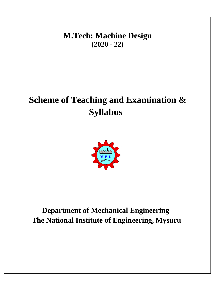**M.Tech: Machine Design (2020 - 22)**

## **Scheme of Teaching and Examination & Syllabus**



### **Department of Mechanical Engineering The National Institute of Engineering, Mysuru**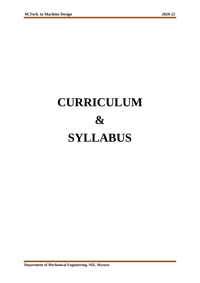# **CURRICULUM & SYLLABUS**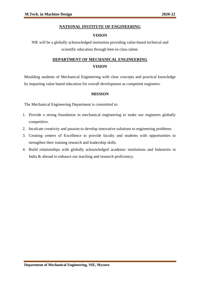#### **NATIONAL INSTITUTE OF ENGINEERING**

#### **VISION**

NIE will be a globally acknowledged institution providing value-based technical and scientific education through best-in-class talent.

#### **DEPARTMENT OF MECHANICAL ENGINEERING VISION**

Moulding students of Mechanical Engineering with clear concepts and practical knowledge by imparting value based education for overall development as competent engineers.

#### **MISSION**

The Mechanical Engineering Department is committed to:

- 1. Provide a strong foundation in mechanical engineering to make our engineers globally competitive.
- 2. Inculcate creativity and passion to develop innovative solutions to engineering problems.
- 3. Creating centers of Excellence to provide faculty and students with opportunities to strengthen their training research and leadership skills.
- 4. Build relationships with globally acknowledged academic institutions and Industries in India & abroad to enhance our teaching and research proficiency.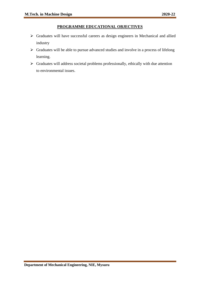#### **PROGRAMME EDUCATIONAL OBJECTIVES**

- ➢ Graduates will have successful careers as design engineers in Mechanical and allied industry
- $\triangleright$  Graduates will be able to pursue advanced studies and involve in a process of lifelong learning.
- ➢ Graduates will address societal problems professionally, ethically with due attention to environmental issues.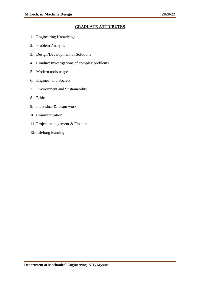#### **GRADUATE ATTRIBUTES**

- 1. Engineering Knowledge
- 2. Problem Analysis
- 3. Design/Development of Solutions
- 4. Conduct Investigations of complex problems
- 5. Modern tools usage
- 6. Engineer and Society
- 7. Environment and Sustainability
- 8. Ethics
- 9. Individual & Team work
- 10. Communication
- 11. Project management & Finance
- 12. Lifelong learning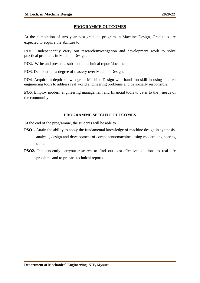#### **PROGRAMME OUTCOMES**

At the completion of two year post-graduate program in Machine Design, Graduates are expected to acquire the abilities to:

**PO1**. Independently carry out research/investigation and development work to solve practical problems in Machine Design.

**PO2.** Write and present a substantial technical report/document.

**PO3**. Demonstrate a degree of mastery over Machine Design.

**PO4**. Acquire in-depth knowledge in Machine Design with hands on skill in using modern engineering tools to address real world engineering problems and be socially responsible.

**PO5**. Employ modern engineering management and financial tools to cater to the needs of the community

#### **PROGRAMME SPECIFIC OUTCOMES**

At the end of the programme, the students will be able to

- **PSO1.** Attain the ability to apply the fundamental knowledge of machine design in synthesis, analysis, design and development of components/machines using modern engineering tools.
- **PSO2.** Independently carryout research to find out cost-effective solutions to real life problems and to prepare technical reports.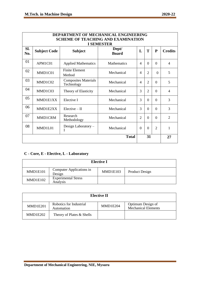| <b>DEPARTMENT OF MECHANICAL ENGINEERING</b><br><b>SCHEME OF TEACHING AND EXAMINATION</b><br><b>I SEMESTER</b> |                     |                                           |                       |                          |                |                |                |
|---------------------------------------------------------------------------------------------------------------|---------------------|-------------------------------------------|-----------------------|--------------------------|----------------|----------------|----------------|
| Sl.<br>No.                                                                                                    | <b>Subject Code</b> | <b>Subject</b>                            | Dept/<br><b>Board</b> | L                        | T              | ${\bf P}$      | <b>Credits</b> |
| 01                                                                                                            | APM1C01             | <b>Applied Mathematics</b>                | Mathematics           | 4                        | $\Omega$       | $\Omega$       | 4              |
| 02                                                                                                            | MMD1C01             | <b>Finite Element</b><br>Method           | Mechanical            | 4                        | $\overline{2}$ | $\theta$       | 5              |
| 03                                                                                                            | MMD1C02             | <b>Composites Materials</b><br>Technology | Mechanical            | $\overline{\mathcal{A}}$ | 2              | $\Omega$       | 5              |
| 04                                                                                                            | MMD1C03             | Theory of Elasticity                      | Mechanical            | 3                        | $\overline{2}$ | $\theta$       | $\overline{4}$ |
| 05                                                                                                            | MMD1E1XX            | Elective I                                | Mechanical            | 3                        | $\overline{0}$ | $\theta$       | 3              |
| 06                                                                                                            | MMD1E2XX            | $Elective - II$                           | Mechanical            | 3                        | $\overline{0}$ | $\Omega$       | 3              |
| 07                                                                                                            | MMD1CRM             | Research<br>Methodology                   | Mechanical            | $\overline{2}$           | $\overline{0}$ | $\Omega$       | $\overline{2}$ |
| 08                                                                                                            | MMD1L01             | Design Laboratory -<br>I                  | Mechanical            | $\Omega$                 | $\theta$       | $\overline{2}$ | 1              |
|                                                                                                               |                     |                                           | <b>Total</b>          |                          | 31             |                | 27             |

#### **C - Core, E - Elective, L - Laboratory**

| <b>Elective I</b> |                                        |          |                |  |  |
|-------------------|----------------------------------------|----------|----------------|--|--|
| MMD1E101          | Computer Applications in<br>Design     | MMD1E103 | Product Design |  |  |
| MMD1E102          | <b>Experimental Stress</b><br>Analysis |          |                |  |  |

| <b>Elective II</b> |                                       |          |                                                 |  |  |  |
|--------------------|---------------------------------------|----------|-------------------------------------------------|--|--|--|
| MMD1E201           | Robotics for Industrial<br>Automation | MMD1E204 | Optimum Design of<br><b>Mechanical Elements</b> |  |  |  |
| MMD1E202           | Theory of Plates & Shells             |          |                                                 |  |  |  |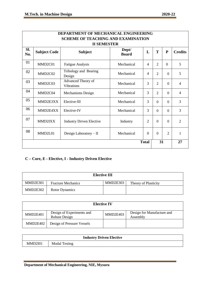| DEPARTMENT OF MECHANICAL ENGINEERING |                                           |                                         |                       |                |                |                |                |  |
|--------------------------------------|-------------------------------------------|-----------------------------------------|-----------------------|----------------|----------------|----------------|----------------|--|
|                                      | <b>SCHEME OF TEACHING AND EXAMINATION</b> |                                         |                       |                |                |                |                |  |
|                                      | <b>II SEMESTER</b>                        |                                         |                       |                |                |                |                |  |
| SI.<br>No.                           | <b>Subject Code</b>                       | <b>Subject</b>                          | Dept/<br><b>Board</b> | L              | T              | ${\bf P}$      | <b>Credits</b> |  |
| 01                                   | MMD <sub>2</sub> C01                      | <b>Fatigue Analysis</b>                 | Mechanical            | $\overline{4}$ | $\overline{2}$ | $\Omega$       | 5              |  |
| 02                                   | MMD2C02                                   | Tribology and Bearing<br>Design         | Mechanical            | $\overline{4}$ | $\overline{2}$ | $\Omega$       | 5              |  |
| 03                                   | MMD2C03                                   | Advanced Theory of<br><b>Vibrations</b> | Mechanical            | 3              | $\overline{2}$ | $\overline{0}$ | $\overline{4}$ |  |
| 04                                   | MMD2C04                                   | <b>Mechanisms Design</b>                | Mechanical            | 3              | $\overline{2}$ | $\overline{0}$ | $\overline{4}$ |  |
| 05                                   | MMD2E3XX                                  | Elective-III                            | Mechanical            | 3              | $\theta$       | $\overline{0}$ | 3              |  |
| 06                                   | MMD2E4XX                                  | Elective-IV                             | Mechanical            | 3              | $\Omega$       | $\Omega$       | 3              |  |
| 07                                   | MMD2IXX                                   | <b>Industry Driven Elective</b>         | Industry              | $\overline{2}$ | $\Omega$       | $\overline{0}$ | $\overline{2}$ |  |
| 08                                   | MMD2L01                                   | Design Laboratory $-$ II                | Mechanical            | $\overline{0}$ | $\Omega$       | $\overline{2}$ | 1              |  |
| 31<br><b>Total</b>                   |                                           |                                         |                       |                | 27             |                |                |  |

#### **C – Core, E - Elective, I - Industry Driven Elective**

| <b>Elective III</b> |                           |          |                      |  |  |  |
|---------------------|---------------------------|----------|----------------------|--|--|--|
| MMD2E301            | <b>Fracture Mechanics</b> | MMD2E303 | Theory of Plasticity |  |  |  |
| MMD2E302            | Rotor Dynamics            |          |                      |  |  |  |

| <b>Elective IV</b> |                                            |          |                                        |  |  |  |
|--------------------|--------------------------------------------|----------|----------------------------------------|--|--|--|
| MMD2E401           | Design of Experiments and<br>Robust Design | MMD2E403 | Design for Manufacture and<br>Assembly |  |  |  |
| MMD2E402           | Design of Pressure Vessels                 |          |                                        |  |  |  |

| <b>Industry Driven Elective</b> |                      |  |  |  |
|---------------------------------|----------------------|--|--|--|
| MMD <sub>2I01</sub>             | <b>Modal Testing</b> |  |  |  |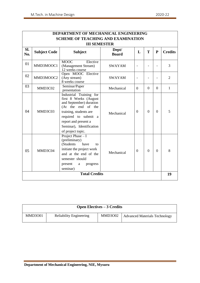|            | <b>DEPARTMENT OF MECHANICAL ENGINEERING</b> |                                                                                                                                                                                                                              |                       |                |          |           |                |  |
|------------|---------------------------------------------|------------------------------------------------------------------------------------------------------------------------------------------------------------------------------------------------------------------------------|-----------------------|----------------|----------|-----------|----------------|--|
|            | <b>SCHEME OF TEACHING AND EXAMINATION</b>   |                                                                                                                                                                                                                              |                       |                |          |           |                |  |
|            | <b>III SEMESTER</b>                         |                                                                                                                                                                                                                              |                       |                |          |           |                |  |
| Sl.<br>No. | <b>Subject Code</b>                         | <b>Subject</b>                                                                                                                                                                                                               | Dept/<br><b>Board</b> | L              | T        | ${\bf P}$ | <b>Credits</b> |  |
| 01         | MMD3MOOC1                                   | MOOC<br>Elective<br>(Management Stream)<br>12 weeks course                                                                                                                                                                   | <b>SWAYAM</b>         | $\blacksquare$ |          |           | 3              |  |
| 02         | MMD3MOOC2                                   | Open MOOC Elective<br>(Any stream)<br>8 weeks course                                                                                                                                                                         | <b>SWAYAM</b>         | $\blacksquare$ |          |           | $\overline{2}$ |  |
| 03         | MMD3C02                                     | Seminar/Paper<br>presentation                                                                                                                                                                                                | Mechanical            | $\Omega$       | $\Omega$ | $\Omega$  | 1              |  |
| 04         | MMD3C03                                     | Industrial Training for<br>first 8 Weeks (August<br>and September) duration<br>(At the end of the<br>training, students are<br>required to submit a<br>report and present a<br>Seminar), Identification<br>of project topic. | Mechanical            | $\Omega$       | $\Omega$ | $\theta$  | 5              |  |
| 05         | MMD3C04                                     | Project Phase $-I$<br>(preliminary)<br>(Students<br>have<br>to<br>initiate the project work<br>and at the end of the<br>semester should<br>present<br>progress<br>a<br>seminar)                                              | Mechanical            | $\Omega$       | $\theta$ | $\theta$  | 8              |  |
|            |                                             | <b>Total Credits</b>                                                                                                                                                                                                         |                       |                |          |           | 19             |  |
|            |                                             |                                                                                                                                                                                                                              |                       |                |          |           |                |  |

| <b>Open Electives – 3 Credits</b> |                                |                |                                      |  |  |  |
|-----------------------------------|--------------------------------|----------------|--------------------------------------|--|--|--|
| <b>MMD3001</b>                    | <b>Reliability Engineering</b> | <b>MMD3002</b> | <b>Advanced Materials Technology</b> |  |  |  |